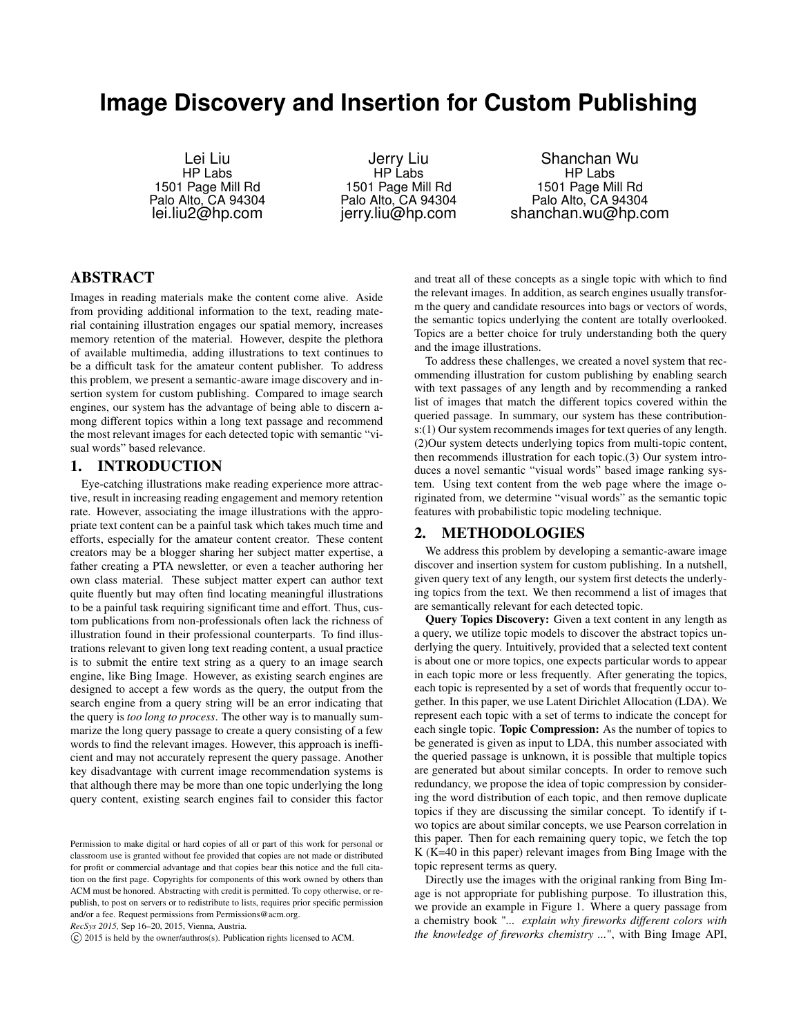# **Image Discovery and Insertion for Custom Publishing**

Lei Liu HP Labs 1501 Page Mill Rd Palo Alto, CA 94304 lei.liu2@hp.com

Jerry Liu HP Labs 1501 Page Mill Rd Palo Alto, CA 94304 jerry.liu@hp.com

Shanchan Wu HP Labs 1501 Page Mill Rd Palo Alto, CA 94304 shanchan.wu@hp.com

## ABSTRACT

Images in reading materials make the content come alive. Aside from providing additional information to the text, reading material containing illustration engages our spatial memory, increases memory retention of the material. However, despite the plethora of available multimedia, adding illustrations to text continues to be a difficult task for the amateur content publisher. To address this problem, we present a semantic-aware image discovery and insertion system for custom publishing. Compared to image search engines, our system has the advantage of being able to discern among different topics within a long text passage and recommend the most relevant images for each detected topic with semantic "visual words" based relevance.

### 1. INTRODUCTION

Eye-catching illustrations make reading experience more attractive, result in increasing reading engagement and memory retention rate. However, associating the image illustrations with the appropriate text content can be a painful task which takes much time and efforts, especially for the amateur content creator. These content creators may be a blogger sharing her subject matter expertise, a father creating a PTA newsletter, or even a teacher authoring her own class material. These subject matter expert can author text quite fluently but may often find locating meaningful illustrations to be a painful task requiring significant time and effort. Thus, custom publications from non-professionals often lack the richness of illustration found in their professional counterparts. To find illustrations relevant to given long text reading content, a usual practice is to submit the entire text string as a query to an image search engine, like Bing Image. However, as existing search engines are designed to accept a few words as the query, the output from the search engine from a query string will be an error indicating that the query is *too long to process*. The other way is to manually summarize the long query passage to create a query consisting of a few words to find the relevant images. However, this approach is inefficient and may not accurately represent the query passage. Another key disadvantage with current image recommendation systems is that although there may be more than one topic underlying the long query content, existing search engines fail to consider this factor

*RecSys 2015,* Sep 16–20, 2015, Vienna, Austria.

*⃝*c 2015 is held by the owner/authros(s). Publication rights licensed to ACM.

and treat all of these concepts as a single topic with which to find the relevant images. In addition, as search engines usually transform the query and candidate resources into bags or vectors of words, the semantic topics underlying the content are totally overlooked. Topics are a better choice for truly understanding both the query and the image illustrations.

To address these challenges, we created a novel system that recommending illustration for custom publishing by enabling search with text passages of any length and by recommending a ranked list of images that match the different topics covered within the queried passage. In summary, our system has these contributions:(1) Our system recommends images for text queries of any length. (2)Our system detects underlying topics from multi-topic content, then recommends illustration for each topic.(3) Our system introduces a novel semantic "visual words" based image ranking system. Using text content from the web page where the image originated from, we determine "visual words" as the semantic topic features with probabilistic topic modeling technique.

#### 2. METHODOLOGIES

We address this problem by developing a semantic-aware image discover and insertion system for custom publishing. In a nutshell, given query text of any length, our system first detects the underlying topics from the text. We then recommend a list of images that are semantically relevant for each detected topic.

Query Topics Discovery: Given a text content in any length as a query, we utilize topic models to discover the abstract topics underlying the query. Intuitively, provided that a selected text content is about one or more topics, one expects particular words to appear in each topic more or less frequently. After generating the topics, each topic is represented by a set of words that frequently occur together. In this paper, we use Latent Dirichlet Allocation (LDA). We represent each topic with a set of terms to indicate the concept for each single topic. Topic Compression: As the number of topics to be generated is given as input to LDA, this number associated with the queried passage is unknown, it is possible that multiple topics are generated but about similar concepts. In order to remove such redundancy, we propose the idea of topic compression by considering the word distribution of each topic, and then remove duplicate topics if they are discussing the similar concept. To identify if two topics are about similar concepts, we use Pearson correlation in this paper. Then for each remaining query topic, we fetch the top K (K=40 in this paper) relevant images from Bing Image with the topic represent terms as query.

Directly use the images with the original ranking from Bing Image is not appropriate for publishing purpose. To illustration this, we provide an example in Figure 1. Where a query passage from a chemistry book "*... explain why fireworks different colors with the knowledge of fireworks chemistry ...*", with Bing Image API,

Permission to make digital or hard copies of all or part of this work for personal or classroom use is granted without fee provided that copies are not made or distributed for profit or commercial advantage and that copies bear this notice and the full citation on the first page. Copyrights for components of this work owned by others than ACM must be honored. Abstracting with credit is permitted. To copy otherwise, or republish, to post on servers or to redistribute to lists, requires prior specific permission and/or a fee. Request permissions from Permissions@acm.org.